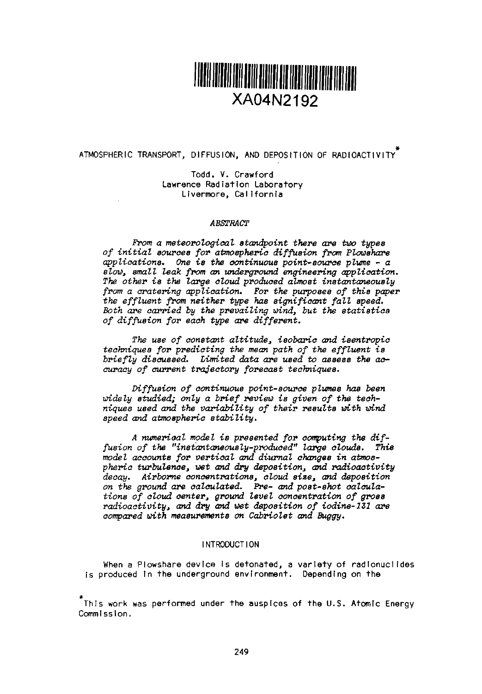

ATMOSPHERIC TRANSPORT, DIFFUSION, AND DEPOSITION OF RADIOACTIVITY

Todd. V. Crawford<br>Lawrence Radiation Laboratory Livermore, California

#### *ABSTRACT*

From a meteorological standpoint there are two types *of initial ources for atmospheric diffusion from Plowshare* applications One the continuous point-source plume - *a* SLOW, *sma* IL *ieak fom* an underground engineering application. *The other is the large cloud produced aLrnoet* instantaneously *from a* cratering application. *For the purposes of this* paper the *effluent from neither* type has ignificant *fall speed. Both are carried by the prevailing wind, but the statistics of diffusion for each type are different.*

*The use of constant altitude, isobaric and iaentropic* techniques *for predicting the mean path of* the effluent is *briefly discussed. Limited data* are *used to assess* the ac*curacy of current trajectory forecast* techniques.

*Diffusion of* continuous *point-source plumes has been* widely studied; only a *brief review is given of* the technique8 used and the *variability of* their esults *with wind speed and* atmospheric stability.

*A numerical model is presented for computing the dif*fusion of the "instantaneously-produced" large clouds. This model accounts *for vertical* and diurnal changes in atmoepheric turbulence, wet and dry *deposition, and radioactivity decay. Airborne concentrations, cloud* size, and *dposition* on *the ground are calculated. Pre- and poet-shot calcula-tions of* coud center, *ground* evel concentration *of gross radioactivity,* and dry and wet deposition *of iodine-231* are *compared with* measurements on *CabrioZet and Buggy.*

## INTRODUCTION

When a Plowshare device is detonated, a variety of radionuclides is produced in the underground environment. Depending on the

This work was performed under the auspices of the U.S. Atomic Energy Commission.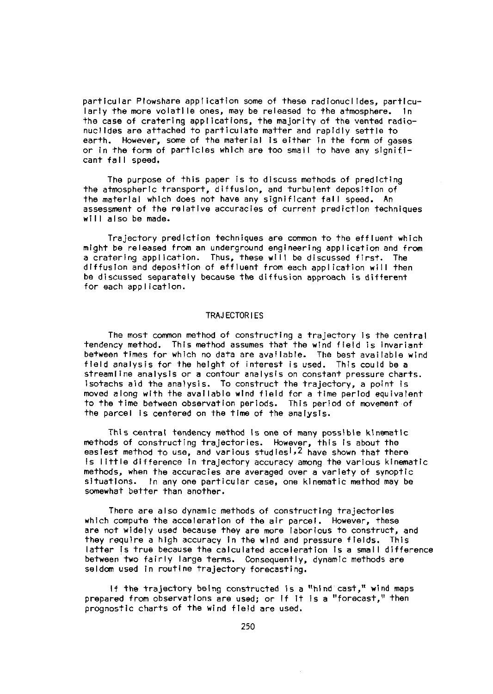particular Plowshare application some of these radionuclides, particularly the more volatile ones, may be released to the atmosphere. In the case of cratering applications, the majority of the vented radionuclides are attached to particulate matter and rapidly settle to earth. However, some of the material Is either in the form of gases or In the form of particles which are too small to have any significant fall speed.

The purpose of this paper is to discuss methods of predicting the atmospheric transport, diffusion, and turbulent deposition of the material which does not have any significant fall speed. An assessment of the relative accuracies of current prediction techniques will also be made.

Trajectory prediction techniques are common to the effluent which might be released from an underground engineering appi ication and from a cratering application. Thus, these will be discussed first. The diffusion and deposition of effluent from each application will then be discussed separately because the diffusion approach is different for each application.

## TRAJECTORIES

The most common method of constructing a trajectory Is the central tendency method. This method assumes that the wind field is invariant between times for which no data are available. The best available wind field analysis for the height of interest is used. This could be a streamline analysis or a contour analysis on constant pressure charts. Isotachs aid the analysis. To construct the trajectory, a point is moved along with the available wind field for a time period equivalent to the time between observation periods. This period of movement of the parcel is centered on the time of the analysis.

This central tendency method Is one of many possible kinematic methods of constructing trajectories. However, this is about the easiest method to use, and various studies<sup>1,2</sup> have shown that there is little difference in trajectory accuracy among the various kinematic methods, when the accuracies are averaged over a variety of synoptic situations. In any one particular case, one kinematic method may be somewhat better than another.

There are also dynamic methods of constructing trajectories which compute the acceleration of the air parcel. However, these are not widely used because they are more laborious to construct, and they require a high accuracy in the wind and pressure fields. This latter is true because the calculated acceleration is a small difference between two fairly large terms. Consequently, dynamic methods are seldom used In routine trajectory forecasting.

If the trajectory being constructed is a "hind cast," wind maps prepared from observations are used; or If It is a "forecast," then prognostic charts of the wind field are used.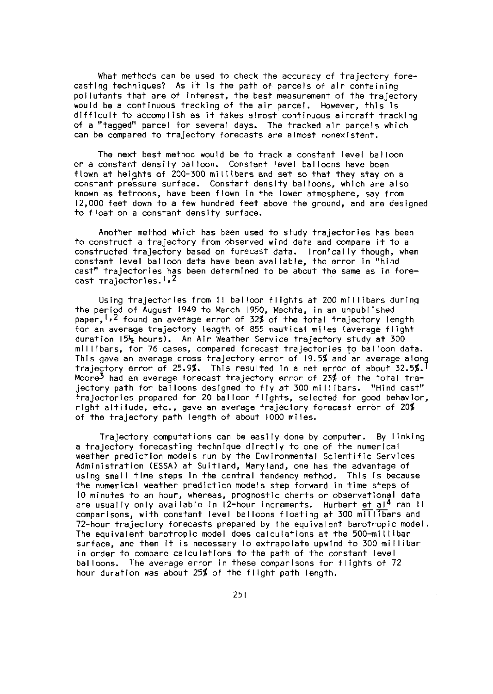What methods can be used to check the accuracy of trajectory forecasting techniques? As it is the path of parcels of air containing pollutants that are of interest, the best measurement of the trajectory would be a continuous tracking of the air parcel. However, this is difficult to accomplish as it takes almost continuous aircraft tracking of a "tagged" parcel for several days. The tracked alr parcels which can be compared to trajectory forecasts are almost nonexistent.

The next best method would be to track a constant level balloon or a constant density balloon. Constant level balloons have been flown at heights of 200-300 millibars and set so that they stay on a constant pressure surface. Constant density balloons, which are also known as tetroons, have been flown in the lower atmosphere, say from 12,000 feet down to a few hundred feet above the ground, and are designed to float on a constant density surface.

Another method which has been used to study trajectories has been to construct a trajectory from observed wind data and compare it to a constructed trajectory based on forecast data. Ironically though, when constant level balloon data have been available, the error in "hind cast" trajectories has been determined to be about the same as in forecast trajectories.<sup>1,2</sup>

Using trajectories from 11 balloon flights at 200 millibars durinq the period of August 1949 to March 1950, Machta, in an unpublished paper,  $1,2$  found an average error of 32% of the total trajectory length for an average trajectory length of 855 nautical miles (average flight duration 15<sup>3</sup> hours). An Air Weather Service trajectory study at 300 millibars, for 76 cases, compared forecast trajectories to balloon data. This gave an average cross trajectory error of 19.5% and an average alony trajectory error of 25.9%. This resulted In a net error of about 32.5%. Moore3 had an average forecast trajectory error of 23% of the total trajectory path for balloons designed to fly at 300 millibars. "Hind cast" trajectories prepared for 20 balloon flights, selected for good behavior, right altitude, etc., gave an average trajectory forecast error of 20% of the trajectory path length of about 1000 miles.

Trajectory computations can be easily done by computer. By linking a trajectory forecasting technique directly to one of the numerical weather prediction models run by the Environmental Scientific Services Administration (ESSA) at Suitland, Maryland, one has the advantage of using small time steps in the central tendency method. This is because the numerical weather prediction models step forward In time steps of 10 minutes to an hou<mark>r, whereas, prognostic charts or observational data</mark><br>are usually only available in 12-hour increments. Hurbert <u>et al<sup>4</sup> ran</u> l comparisons, with constant level balloons floating at 300 mITITbars and 72-hour trajectory forecasts prepared by the equivalent barotropic model. The equivalent barotropic model does calculations at the 500-millibar surface, and then it is necessary to extrapolate upwind to 300 millibar in order to compare calculations to the path of the constant level balloons. The average error in these comparisons for flights of 72 hour duration was about 25% of the flight path length.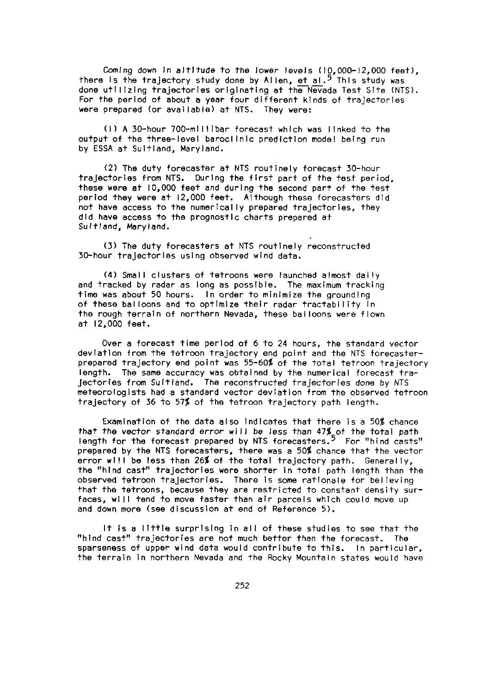Coming down in altitude to the lower levels (10,000-12,000 feet), there is the trajectory study done by Allen, et al.<sup>5</sup> This study was done utilizing trajectories originating at the Nevada Test Site (NTS). For the period of about a year four different kinds of trajectories were prepared (or available) at NTS. They were:

(1) A 30-hour 700-millibar forecast which was linked to the output of the three-level baroclinic prediction model being run by ESSA at Suitland, Maryland.

(2) The duty forecaster at NTS routinely forecast 30-hour trajectories from NTS. During the first part of the test period, these were at 10,000 feet and during the second part of the test period they were at 12,000 feet. Although these forecasters did not have access to the numerically prepared trajectories, they did have access to the prognostic charts prepared at Sultland, Maryland.

(3) The duty forecasters at NTS routinely reconstructed 30-hour trajectories using observed wind data.

(4) Small clusters of tatroons were launched almost daily and tracked by radar as long as possible. The maximum tracking time was about 50 hours. In order to minimize the grounding of these balloons and to optimize their radar tractability in the rough terrain of northern Nevada, these balloons were flown at 12,000 feet.

Over a forecast time period of 6 to 24 hours, the standard vector deviation from the tetroon trajectory end point and the NTS forecasterprepared trajectory end point was 55-60% of the total tetroon trajectory length. The same accuracy was obtained by the numerical forecast trajectorfes from Sultland. The reconstructed trajectories done by NTS meteorologists had a standard vector deviation from the observed tetroon trajectory of 36 to 57% of the tetroon trajectory path length.

Examination of the data also indicates that there is a 50% chance that the vector standard error **will** be less than 47% of the total path length for the forecast prepared by NTS forecasters.5 For "hind casts" prepared by the NTS forecasters, there was a 50% chance that he vector error will be less than 26% of the total trajectory path. Generally, the "hind cast" trajectories were shorter in total path length than the observed tetroon trajectories. There is some rationale for believing that the tetroons, because they are restricted to constant density surfaces, will tend to move faster than air parcels which could move up and down more (see discussion at end of Reference 5).

It Is a little surprising In all of these studies to see that the "hind cast" trajectories are not much better than the forecast. The sparseness of upper wind data would contribute to this. In particular, the terrain in northern Nevada and the Rocky Mountain states would have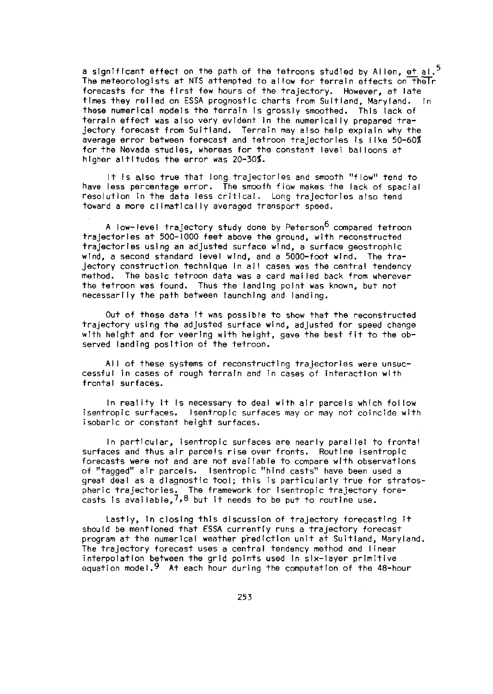a significant effect on the path of the tetroons studied by Allen, et al. $^5$ The meteorologists at NTS attempted to allow for terrain effects on the Ir forecasts for the first few hours of the trajectory. However, at late times they relied on ESSA prognostic charts from Sultiand, Maryland. In these numerical models the terrain Is grossly smoothed. This lack of terrain effect was also very evident in the numerically prepared trajectory forecast from Sultland. Terrain may also help explain why the average error between forecast and tetroon trajectories Is like 50-60% for the Nevada studies, whereas for the constant level balloons at higher altitudes the error was 20-30%.

It Is also true that long trajectories and smooth "flow" tend to have less percentage error. The smooth flow makes the lack of spacial resolution In the data less critical. Long trajectories also tend toward a more climatically averaged transport speed.

A low-level trajectory study done by Peterson<sup>6</sup> compared tetroon trajectories at 500-1000 feet above the ground, with reconstructed trajectories using an adjusted surface wind, a surface geostrophic wind, a second standard level wind, and a 5000-foot wind. The trajectory construction technique In all cases was the central tendency method. The basic tetroon data was a card mailed back from wherever the tetroon was found. Thus the landing point was known, but not necessarily the path between launching and landing.

Out of these data It was possible to show that the reconstructed trajectory using the adjusted surface wind, adjusted for speed change with height and for veering with height, gave the best fit to the observed landing position of the tetroon.

All of these systems of reconstructing trajectories were unsuccessful in cases of rough terrain and in cases of interaction with frontal surfaces.

In reality it Is necessary to deal with air parcels which follow isentropic surfaces. Isentropic surfaces may or may not coincide with isobaric or constant height surfaces.

In particular, isentropic surfaces are nearly parallel to frontal surfaces and thus air parcels rise over fronts. Routine isentropic forecasts were not and are not available to compare wth observations of "tagged" air parcels. Isentropic "hind casts" have been used a great deal as a diagnostic tool; this is particularly true for stratospheric trajectories. The framework for isentropic trajectory forecasts is available, 7,8 but it needs to be put to routine use.

Lastly, In closing this discussion of trajectory forecasting It should be mentioned that ESSA currently runs a trajectory forecast program at the numerical weather prediction unit at Suitland, Maryland, The trajectory forecast uses a central tendency method and linear interpolation between the grid points used In six-layer primitive equation model.9 At each hour during the computation of the 48-hour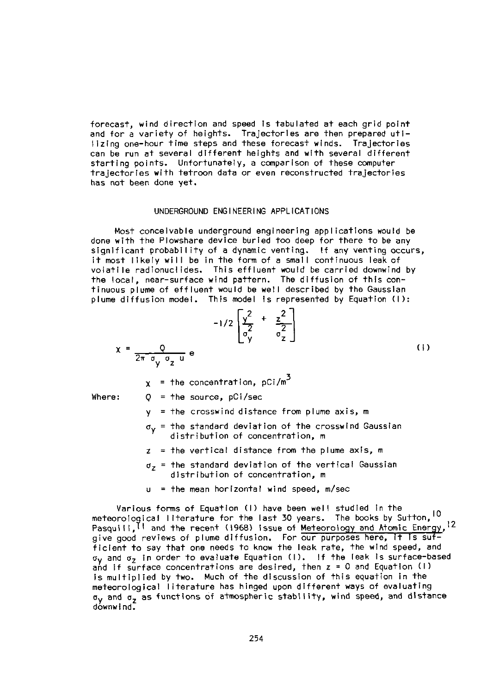forecast, wind direction and speed is tabulated at each grid point and for a variety of heights. Trajectories are then prepared utilizing one-hour time steps and these forecast winds. Trajectories can be run at several different heights and with several different starting points. Unfortunately, a comparison of these computer trajectories with tetroon data or even reconstructed trajectories has not been done yet.

### UNDERGROUND ENGINEERING APPLICATIONS

Most conceivable underground engineering applications would be done with the Plowshare device buried too deep for there to be any significant probability of a dynamic venting. If any venting occurs, it most likely will be in the form of a small continuous leak of volatile radionuclides. This effluent would be carried downwind by the local, near-surface wind pattern. The diffusion of this continuous plume of effluent would be well described by the Gaussian

plane diffusion model. This model is represented by Equation (1):

\n
$$
-1/2 \left[ \frac{y^{2}}{\sigma_{y}^{2}} + \frac{z^{2}}{\sigma_{z}^{2}} \right]
$$
\n
$$
x = \frac{Q}{2\pi \sigma_{y} \sigma_{z} u} e
$$
\n(1)

 $x =$  the concentration, pCi/m<sup>3</sup>

Where:  $Q = \text{the source, pCi/sec}$ 

 $y =$  the crosswind distance from plume axis, m

- $\sigma_{\rm v}$  = the standard deviation of the crosswind Gaussian distribution of concentration, m
- $z =$  the vertical distance from the plume axis, m
- $\sigma_7$  = the standard deviation of the vertical Gaussian distribution of concentration, m
- $u$  = the mean horizontal wind speed, m/sec

Various forms of Equation (1) have been well studied in the meteorological literature for the last 30 years. The books by Sutton, 10 Pasquill, II and the recent (1968) Issue of Meteorology and Atomic Energy, 12 give good reviews of plume diffusion. For our purposes here, it is sufficient to say that one needs to know the leak rate, the wind speed, and ay and a, in order to evaluate Equation (1). If the leak Is surface-based and if surface concentrations are desired, then  $z = 0$  and Equation (1) is multiplied by two. Much of the discussion of this equation in the meteorological literature has hinged upon different ways of evaluating  $\sigma_V$  and  $\sigma_z$  as functions of atmospheric stability, wind speed, and distance downwind.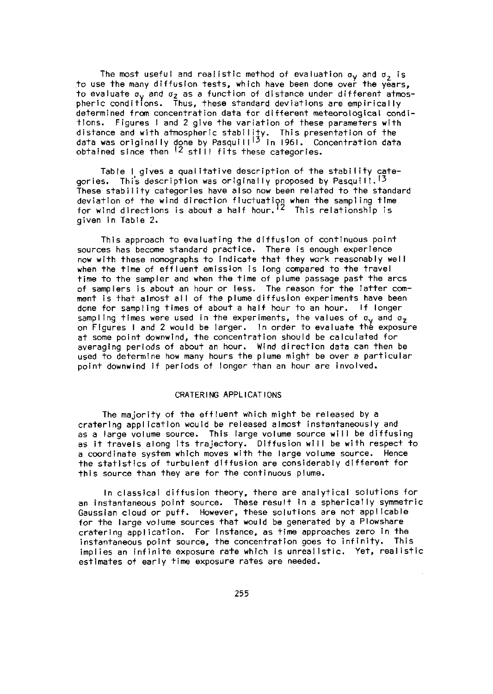The most useful and realistic method of evaluation  $\sigma_y$  and  $\sigma_z$  is to use the many diffusion tests, which have been done over the years, to evaluate ay *and* az as a function of distance under different atmospheric conditions. Thus, these standard deviations are empirically determined from concentration data for different meteorological conditions. Figures I and 2 give the variation of these parameters with distance and with atmospheric stability. This presentation of the<br>data was originally done by Pasquill<sup>13</sup> in 1961. Concentration data obtained since then 12 still fits these categories.

Table 1glves a qualitative description of the stability categories. This description was originally proposed by Pasquili.<sup>13</sup> These stability categories have also now been related to the standard deviation of the wind direction fluctuation when the sampling time for wind directions is about a half hour.12 This relationship is given in Table 2.

This approach to evaluating the diffusion of continuous point sources has become standard practice. There is enough experience now with these nomographs to Indicate that they work reasonably well when the time of effluent emission is long compared to the travel time to the sampler and when the time of plume passage past the arcs of samplers is about an hour or less. The reason for the latter comment is that almost all of the plume diffusion experiments have been done for sampling times of about a half hour to an hour. If longer sampling times were used in the experiments, the values of  $\sigma_v$  and  $\sigma_z$ on Figures I and 2 would be larger. In order to evaluate the exposure at some point downwind, the concentration should be calculated for averaging periods of about an hour. Wind direction data can then be used to determine how many hours the plume might be over a particular point downwind If periods of longer than an hour are involved.

## CRATERING APPLICATIONS

The majority of the effluent which might be released by a cratering application would be released almost instantaneously and as a large volume source. This large volume source **will** be diffusing as it travels along its trajectory. Diffusion will be with respect to a coordinate system which moves with the large volume source. Hence the statistics of turbulent diffusion are considerably different for this source than they are for the continuous plume.

In classical diffusion theory, there are analytical solutions for an instantaneous point source. These result in a spherically symmetric Gaussian cloud or puff. However, these solutions are not applicable for the large volume sources that would be generated by a Plowshare cratering application. For Instance, as time approaches zero in the instantaneous point source, the concentration goes to infinity. This implies an infinite exposure rate which is unrealistic. Yet, realistic estimates of early time exposure rates are needed.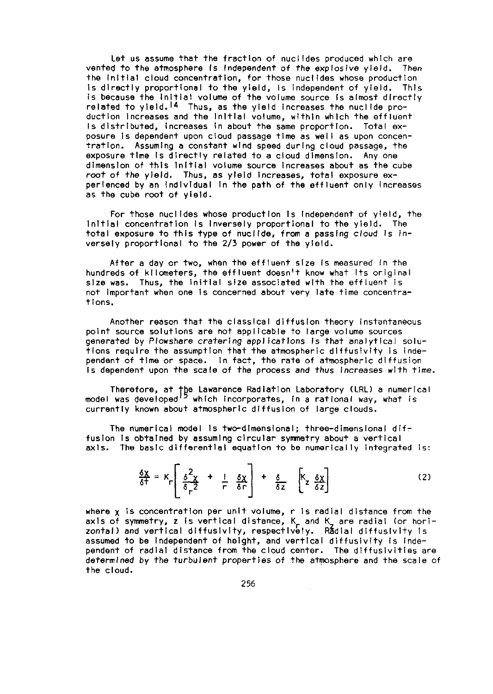Let us assume that the fraction of nuclides produced which are vented to the atmosphere is independent of the explosive yield. Then the Initial cloud concentration, for those nuclides whose production Is directly proportional to the yield, Is independent of yield. This is because the Initial volume of the volume source Is almost directly related to yield.14 Thus, as the yield increases the nuclide production Increases and the Initial volume, within which the effluent Is distributed, Increases In about the same proportion. Total exposure is dependent upon cloud passage time as well as upon concentration. Assuming a constant wind speed during cloud passage, the exposure time Is directly related to a cloud dimension. Any one dimension of this Initial volume source Increases about as the cube root of the yield. Thus, as yield Increases, total exposure experienced by an Individual In the path of the effluent only increases as the cube root of yield.

For those nuclides whose production Is Independent of yield, the Initial concentration Is Inversely proportional to the yield. The total exposure to this type of nucl(de, from a passing cloud Is inversely proportional to the 2/3 power of the yield.

After a day or two, when the effluent size Is measured in the hundreds of kilometers, the effluent doesn't know what Its original size was. Thus, the initial size associated with the effluent is not Important when one Is concerned about very late time concentrations.

Another reason that the classical diffusion theory instantaneous point source solutions are not applicable to large volume sources generated by Plowshare cratering applications Is that analytical solutions require the assumption that the atmospheric dlffusivity is independent of time or space. In fact, the rate of atmospheric diffusion Is dependent upon the scale of the process and thus Increases *with time.*

Therefore, at the Lawarence Radiation Laboratory (LRL) a numerica<br>model was developed'<sup>5</sup> which incorporates, in a rational way, what is currently known about atmospheric diffusion of large clouds.

The numerical model is two-dimensional; three-dimensional diffusion Is obtained by assuming circular symmetry about a vertical axis. The basic dfferential equation to be numerically integrated is:

$$
\frac{\delta \chi}{\delta \tau} = K_{\Gamma} \left[ \frac{\delta^2 \chi}{\delta_{\Gamma} 2} + \frac{1}{\Gamma} \frac{\delta \chi}{\delta \Gamma} \right] + \frac{\delta}{\delta z} \left[ K_{Z} \frac{\delta \chi}{\delta z} \right]
$$
 (2)

where  $x$  is concentration per unit volume, r is radial distance from the axis of symmetry, z is vertical distance, K, and K, are radial (or hori<br>zontal) and vertical diffusivity, respectively. Radial diffusivity is assumed to be Independent of height, and vertical diffusivity is Independent of radial distance from the cloud center. The diffusivities are determined by the turbulent properties of the atmosphere and the scale of the cloud.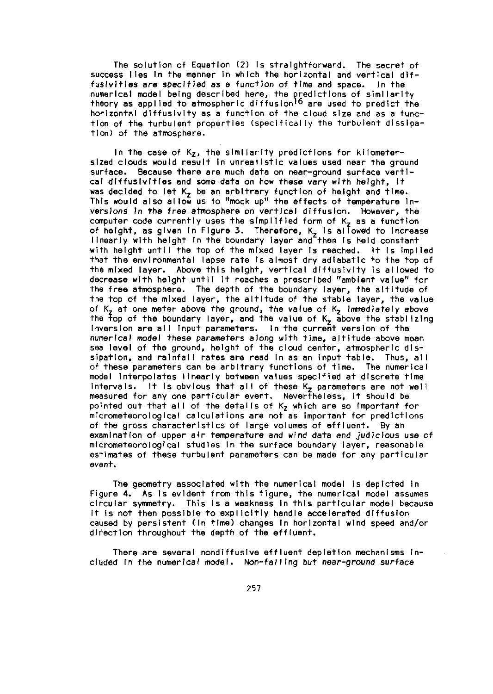The solution of Equation (2) Is straightforward. The secret of success lies In the manner In which the horizontal and vertical diffusivities are specified as a function of time and space. In the numerical model being described here, the predictions of similarity theory as applied to atmospheric diffusion<sup>16</sup> are used to predict the horizontal diftusivity as a function of the cloud sze and as a functlon of the turbulent properties (specifically the turbulent dissipation) of the atmosphere.

In the case of  $K_z$ , the similarity predictions for kilometersized clouds would result in unrealistic values used near the ground surface. Because there are much data on near-ground surface vertlcal diffusivities and some data on how these vary with height, it was decided to let  $K<sub>2</sub>$  be an arbitrary function of height and time. This would also allow us to "mock up" the effects of temperature Inversions In the free atmosphere on vertical diffusion. However, the computer code currently uses the simplified form of  $K<sub>7</sub>$  as a function of height, as given in Figure 3. Therefore, K, is allowed to Increase<br>linearly with height in the boundary layer and then is held constant with height until the top of the mixed layer Is reached. It is implied that the environmental lapse rate Is almost dry adiabatic to the top of the mixed layer. Above this height, vertical diffusivity Is allowed to decrease with height until It reaches a prescribed "ambient value" for the free atmosphere. The depth of the boundary layer, the altitude of the top of the mixed layer, the altitude of the stable layer, the value of K, at one meter above the ground, the value of K, Immediately above the, Top of the boundary layer, and the value of K, above the stablizing Inversion are all Input parameters. In the current version of the numerical model these parameters along with time, altitude above mean sea level of the ground, height of the cloud center, atmospheric dlssipation, and rainfall rates are read In as an input table. Thus, all of these parameters can be arbitrary functions of time. The numerical model Interpolates linearly between values specified at discrete tme Intervals. It is obvious that all of these  $K_{\tau}$  parameters are not well measured for any one particular event. Nevertheless, it should be pointed out that all of the details of K<sub>z</sub> which are so important for micrometeorological calculations are not as important for predictions of the gross characteristics of large volumes of effluent. By an examination of upper air temperature and wind data *and judicious* use of micrometeorological studies In the surface boundary layer, reasonable estimates of these turbulent parameters can be made for any particular event.

The geometry associated with the numerical model is depicted In Figure 4. As is evident from this figure, the numerical model assumes circular symmetry. This Is a weakness In this particular model because it is not then possible to explicitly handle accelerated diffusion caused by persistent (in time) changes In horizontal wind speed and/or direction throughout the depth of the effluent.

There are several nondiffusive effluent depletion mechanisms included In the numerical model. *Non-failing but* near-ground surface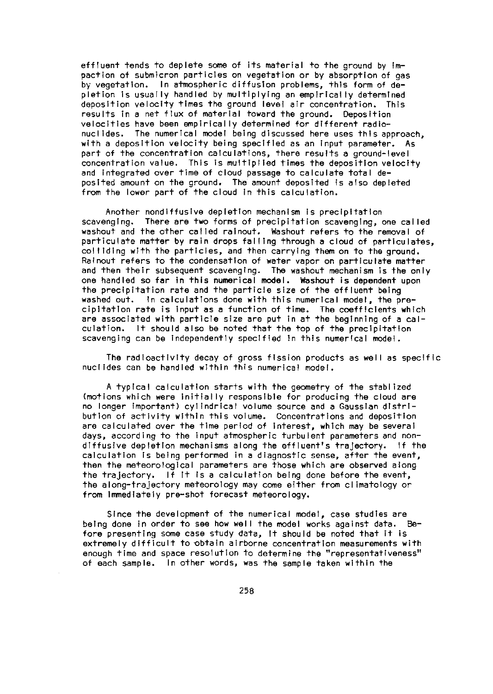effluent tends to deplete some of its material to the ground by impaction of submicron particles on vegetation or by absorption of gas by vegetation. In atmospheric diffusion problems, this form of depletion is usually handled by multiplying an empirically determined deposition velocity times the ground level ar concentration. This results in a net flux of material toward the ground. Deposition velocities have been empirically determined for different radionuclides. The numerical model being discussed here uses this approach, with a deposition velocity being specified as an input parameter. As part of the concentration calculations, there results a ground-level concentration value. This is multiplied times the deposition velocity and integrated over time of cloud passage to calculate total deposited amount on the ground. The amount deposited is also depleted from the lower part of the cloud In this calculation.

Another nondiffusive depletion mechanism is precipitation scavenging. There are two forms of precipitation scavenging, one called washout and the other called ralnout. Washout refers to the removal of particulate matter by rain drops falling through a cloud of particulates, colliding with the particles, and then carrying them on to the ground. Ralnout refers to the condensation of water vapor on particulate matter and then their subsequent scavenging. The washout mechanism is the only one handled so **far** in this numerical **model. Washout is** dependent upon the precipitation rate and the particle size of the effluent being washed out. In calculations done with this numerical model, the precipitation rate is input as a function of time. The coefficients which are associated with particle size are put in at the beginning of a calculation. It should also be noted that the top of the precipitation scavenging can be independently specified In this numerical model.

The radioactivity decay of gross fission products as **well** as specific nuclides can be handled wthin this numerical model.

A typical calculation starts with the geometry of the stablized (motions which were Initially responsible for producing the cloud are no longer important) cylindrical volume source and a Gaussian distribution of activity within this volume. Concentrations and deposition are calculated over the time period of interest, which may be several days, according to the input atmospheric turbulent parameters and nondiffusive depletion mechanisms along the effluent's trajectory. If the calculation is being performed in a diagnostic sense, after the event, then the meteorological parameters are those which are observed along the trajectory. If It is a calculation being done before the event, the along-trajectory meteorology may come either from climatology or from Immediately pre-shot forecast meteorology.

Since the development of the numerical model, case studies are being done in order to see how well the model works against data. Before presenting some case study data, It should be noted that it is extremely difficult to obtain airborne concentration measurements with enough time and space resolution to determine the "representativeness" of each sample. In other words, was the sample taken within the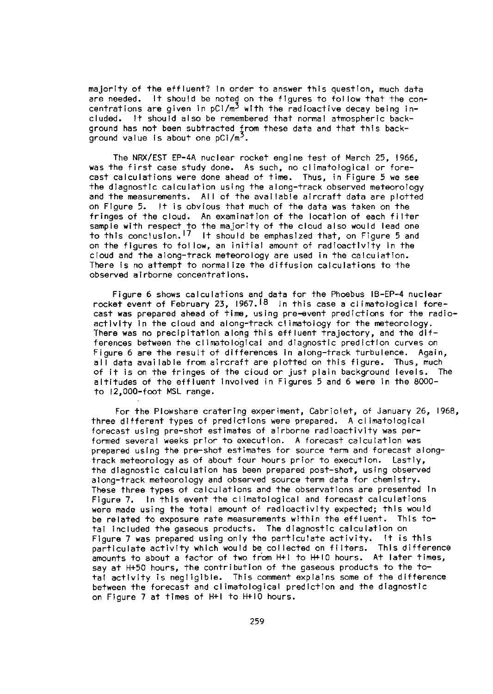majority of the effluent? In order to answer this question, much data are needed. It should be noted on the figures to follow that the concentrations are given in  $pC1/m<sup>3</sup>$  with the radioactive decay being included. It should also be remembered that normal atmospheric background has not been subtracted from these data and that this background value is about one  $pCi/m^2$ .

The NRX/EST EP-4A nuclear rocket engine test of March 25, 1966, was the first case study done. As such, no climatological or forecast calculations were done ahead of time. Thus, in Figure 5 we see the diagnostic calculation using the along-track observed meteorology and the measurements. All of the available aircraft data are plotted on Figure 5. It is obvious that much of the data was taken on the fringes of the cloud. An examination of the location of each filter sample with respect to the majority of the cloud also would lead one<br>to this conclusion.<sup>17</sup> It should be emphasized that, on Figure 5 and on the figures to follow, an initial amount of radioactivity in the cloud and the along-track meteorology are used in the calculation. There is no attempt to normalize the diffusion calculations to the observed airborne concentrations.

Figure 6 shows calculations and data for the Phoebus IB-EP-4 nuclear rocket event of February 23, 1967.<sup>18</sup> In this case a climatological forecast **was** prepared ahead of time, using pre-event predictions for the radioactivity in the cloud and along-track climatology for the meteorology. There was no precipitation along this effluent trajectory, and the differences between the climatological and diagnostic prediction curves on Figure 6 are the result of differences in along-track turbulence. Again, all data available from aircraft are plotted on this figure. Thus, much of it is on the fringes of the cloud or just plain background levels. The altitudes of the effluent Involved in Figures 5 and 6 were in the 8000to 12,000-foot MSL range.

For the Plowshare cratering experiment, Cabriolet, of January 26, 1968, three different types of predictions were prepared. A climatological forecast using pre-shot estimates of airborne radioactivity was performed several weeks prior to execution. A forecast calculation was prepared using the pre-shot estimates for source term and forecast alongtrack meteorology as of about four hours prior to execution. Lastly, the diagnostic calculation has been prepared post-shot, using observed along-track meteorology and observed source term data for chemistry. These three types of calculations and the observations are presented In Figure 7. In this event the climatological and forecast calculations were made using the total amount of radioactivity expected; this would be related to exposure rate measurements within the effluent. This total included the gaseous products. The diagnostic calculation on Figure 7 was prepared using only the particulate activity. It is this particulate activity which would be collected on filters. This difference amounts to about a factor of two from H+! to H+10 hours. At later times, say at H+50 hours, the contribution of the gaseous products to the total activity is negligible. This comment explains some of the difference between the forecast and climatological prediction and the diagnostic on Figure 7 at times of H+I to H+IO hours.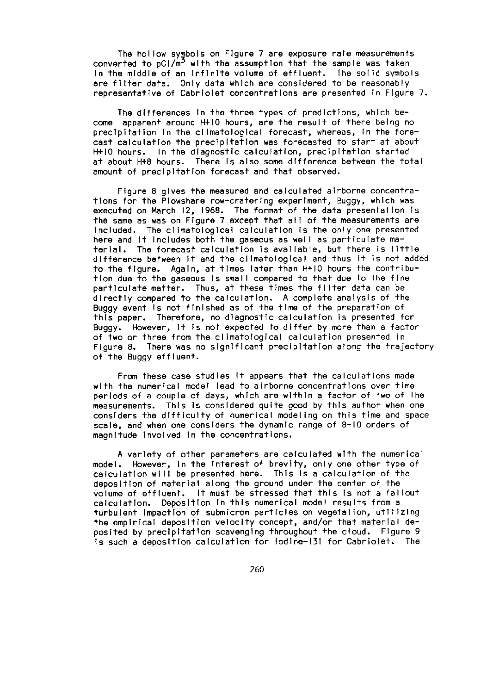The hollow symbols on Figure 7 are exposure rate measurements converted to  $pC/M^2$  with the assumption that the sample was taken In the middle of an Infinite volume of effluent. The solid symbols are filter data. Only data which are considered to be reasonably representative of Cabriolet concentrations are presented in Flaure 7.

The differences In the three types of predictions, which become apparent around H10 hours, are the result of there being no precipitation In the climatological forecast, whereas, in the forecast calculation the precipitation was forecasted to start at about H+10 hours. In the diagnostic calculation, precipitation started at about H+8 hours. There Is also some difference between the total amount of precipitation forecast and that observed.

Figure 8 gives the measured and calculated airborne concentrations for the Plowshare row-cratering experiment, Buggy, which was executed on March 12, 1968. The format of the data presentation Is the same as was on Figure 7 except that all of the measurements are Included. The climatological calculation Is the only one presented here and It Includes both the gaseous as well as particulate material. The forecast calculation is available, but there is little difference between It and the climatological and thus it is not added to the figure. Again, at times later than H+10 hours the contribution due to the gaseous Is small compared to that due to the fine particulate matter. Thus, at these times the filter data can be directly compared to the calculation. A complete analysis of the Buggy event Is not finished as of the time of the preparation of this paper. Therefore, no diagnostic calculation Is presented for Buggy. However, It Is not expected to differ by more than a factor of two or three from the climatological calculation presented in Figure 8. There was no significant precipitation along the trajectory of the Buggy effluent.

From these case studies It appears that the calculations made with the numerical model lead to airborne concentrations over time periods of a couple of days, which are within a factor of two of the measurements. This Is considered quite good by this author when one considers the difficulty of numerical modeling on this time and space scale, and when one considers the dynamic range of 8-10 orders of magnitude Involved In the concentrations.

A variety of other parameters are calculated with the numerical model. However, in the Interest of brevity, only one other type of calculation will be presented here. This Is a calculation of the deposition of material along the ground under the center of the volume of effluent. It must be stressed that this is not a fallout<br>calculation. Deposition in this numerical model results from a turbulent impaction of submicron particles on vegetation, utilizing the empirical deposition velocity concept, and/or that material deposited by precipitation scavenging throughout the cloud. Figure 9 Is such a deposition calculation for lodlne-13i for Cabriolet. The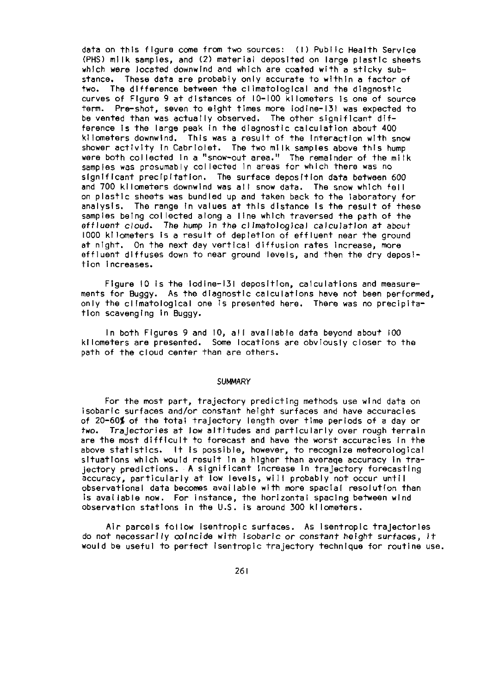data on this figure come from two sources: (1) Public Health Service (PHS) milk samples, and (2) material deposited on large plastic sheets which were located downwind and which are coated with a sticky substance. These data are probably only accurate to within a factor of two. The difference between the climatological and the diagnostic curves of Figure 9 at distances of 10-100 kilometers Is one of source term. Pre-shot, seven to eight times more iodine-131 was expected to be vented than was actually observed. The other significant difference Is the large peak in the diagnostic calculation about 400 kilometers downwind. This was a result of the Interaction with snow shower activity In Cabriolet. The two milk samples above this hump were both collected In a "snow-out area." The remainder of the milk samples was presumably collected in areas for which there was no significant precipitation. The surface deposition data between 600 and 700 klometers downwind was all snow data. The snow which fell on plastic sheets was bundled up and taken back to the laboratory for analysis. The range in values at this distance is the result of these samples being collected along a line which traversed the path of the effluent cloud. The *hump In* the climatological calculation at *about* 1000 kilometers Is a result of depletion of effluent near the ground at night. On the next day vertical diffusion rates Increase, more effluent diffuses down to near ground levels, and then the dry deposition increases.

Figure 10 is the iodine-131 deposition, calculations and measurements for Buggy. As the diagnostic calculations have not been performed, only the climatological one is presented here. There was no precipitation scavenging In Buggy.

In both Figures 9 and 10, all available data beyond about 100 kilometers are presented. Some locations are obviously closer to the path of the cloud center than are others.

#### **SUMMARY**

For the most part, trajectory predicting methods use wind data oh isobaric surfaces and/or constant height surfaces and have accuracies of 20-60% of the total trajectory length over time periods of a day or two. Trajectories at low altitudes and particularly over rough terrain are the most difficult to forecast and have the worst accuracies In the above statistics. It Is possible, however, to recognize meteorological situations which would result In a higher than averaqe accuracy in trajectory predictions. A significant Increase in trajectory forecasting accuracy, particularly at low levels, will probably not occur until observational data becomes available with more spacial resolution than is available now. For instance, the horizontal spacing between wind observation stations in the U.S. is around 300 ki lometers.

Air parcels follow isentropic surfaces. As isentropic trajectories do not necessarily oincide with isobaric or constant height surfaces, It would be useful to perfect isentropic trajectory technique for routine use.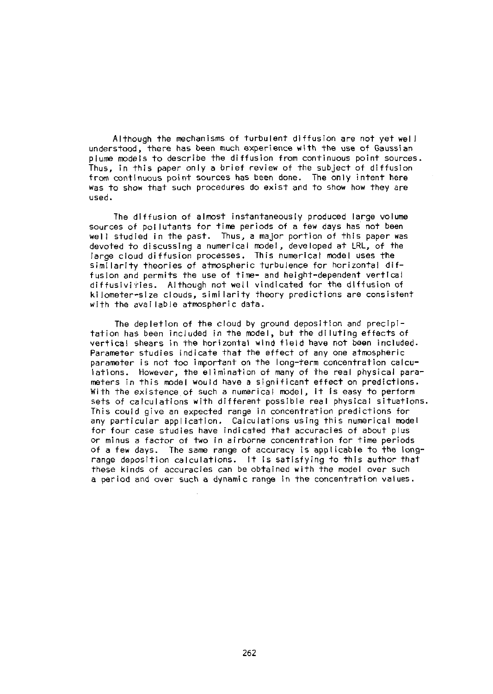Although the mechanisms of turbulent diffusion are not yet well understood, there has been much experience with the use of Gaussian plume models to describe the diffusion from continuous point sources. Thus, in this paper only a brief review of the subject of diffusion from continuous point sources has been done. The only intent here was to show that such procedures do exist and to show how they are used.

The diffusion of almost instantaneously produced large volume sources of pollutants for time periods of a few days has not been well studied in the past. Thus, a major portion of this paper was devoted to discussing a numerical model, developed at LRL, of the large cloud diffusion processes. This numerical model uses the similarity theories of atmospheric turbulence for horizontal diffusion and permits the use of time- and height-dependent vertical diffusiviries. Although not well vindicated for the diffusion of kilometer-size clouds, siml larity theory predictions are consistent with the available atmospheric data.

The depletion of the cloud by ground deposition and precipitation has been included in the model, but the diluting effects of vertical shears in the horizontal wind field have not been included. Parameter studies indicate that the effect of any one atmospheric parameter is not too important on the long-term concentration calculations. However, the elimination of many of the real physical parameters in this model would have a significant effect on predictions. With the existence of such a numerical model, it Is easy to perform sets of calculations with different possible real physical situations. This could give an expected range in concentration predictions for any particular application. Calculations using this numerical model for four case studies have indicated that accuracies of about plus or minus a factor of two in airborne concentration for time periods of a few days. The same range of accuracy is applicable to the longrange deposition calculations. It is satisfying to this author that these kinds of accuracies can be obtained with the model over such a period and over such a dynamic range in the concentration values.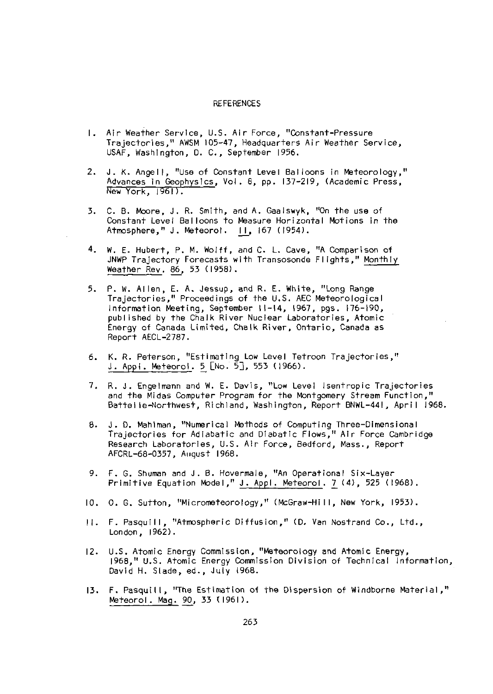#### REFERENCES

- 1. Air Weather Service, U.S. Air Force, "Constant-Pressure Trajectories," AWSM 105-47, Headquarters Air Weather Service, USAF, Washington, D. C., September 1956.
- 2. J. K. Angell, "Use of Constant Level Balloons in Meteorology," Advances in Geohyslcs, Vol. 8, pp. 137-219, (Academic Press,  $New York, 1961$ .
- 3. C. B. Moore, J. R. Smith, and A. Gaalswyk, "On the use of Constant Level Balloons to Measure Horizontal Motions in the Atmosphere," J. Meteorol. II, 167 (1954).
- *4.* W. E. Hubert, P. M. Wolff, and C. L. Cave, "A Comparison of JNWP Trajectory Forecasts with Transosonde Flights," Monthly Weather Rev. 86, 53 (1958).
- 5. P. W. Allen, E. A. Jessup, and R. E. White, "Long Range Trajectories," Proceedings of the U.S. AEC Meteorological Information Meeting, September 11-14, 1967, pgs. 176-190, published by the Chalk River Nuclear Laboratories, Atomic Energy of Canada Limited, Chalk River, Ontario, Canada as Report AECL-2787.
- 6. K. R. Peterson, "Estimating Low Level Tetroon Trajectories," J. Appi. Meteorol. 5 [No. 5], 553 (1966).
- 7. R. J. Engelmann and W. E. Davis, "Low Level Isentropic Trajectories and the Midas Computer Program for the Montgomery Stream Function," Battelie-Northwest, Richland, Washington, Report BNWL-441, April 1968.
- B. J. D. MahIman, "Numerical Methods of Computing Three-Dimensional Trajectories for Adiabatic and Diabatic Flows," Air Force Cambridge Research Laboratories, U.S. Air Force, Bedford, Mass., Report AFCRL-68-0357, Aiqust 1968.
- *9.* F. G. Shuman and J. B. Hoverma le, "An Operational Six-Layer Primitive Equation Model," J. Appl. Meteorol. 7 (4), 525 (1968).
- 10. 0. G. Sutton, "Micrometeorology," (McGraw-Hill, New York, 1953).
- 11. F. Pasquill, "Atmospheric Diffusion," (D. Van Nostrand Co., Ltd., London, 1962).
- 12. U.S. Atomic Energy Commission, "Meteorology and Atomic Energy, 1968," U.S. Atomic Energy Commission Division of Technical Information, David H. Slade, ed., July i968.
- 13. F. Pasquill, "The Estimation of the Dispersion of Windborne Material," Meteorol. Mag. 90, 33 t1961).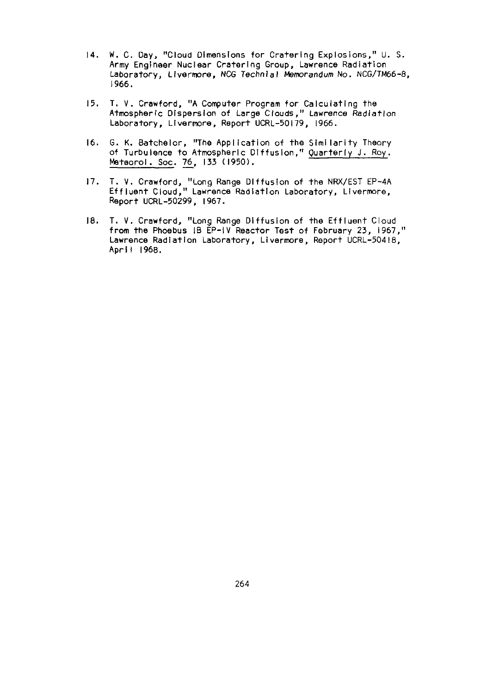- 14. *W.* C. Day, "Cloud Dimensions for Cratering Explosions," U. S. Army Engineer Nuclear Cratering Group, Lawrence Radiation Laboratory, Livermore, NCG Technial *Memorandum* No. NCG/TM66-8, 1966.
- 15. T. V. Crawford, "A Computer Program for Calculating the Atmospheric Dispersion of Large Clouds," Lawrence Radiation Laboratory, Livermore, Report UCRL-50179, 1966.
- 16. G. K. Batchelor, "The Application of the Similarity Theory of Turbulence to Atmospheric Diffusion," Quarterly J. Ray. Mateorol. Soc. 76, 133 (1950).
- 17. T. V. Crawford, "Long Range Diffusion of the NRX/EST EP-4A Effluent Cloud," Lawrence Radiation Laboratory, Lvermore, Report UCRL-50299, 1967.
- 18. T. V. Crawford, "Long Range Diffusion of the Effluent Cloud from the Phoebus IB EP-IV Reactor Test of February 23, 1967," Lawrence Radiation Laboratory, Livermore, Report UCRL-50418, April 1968.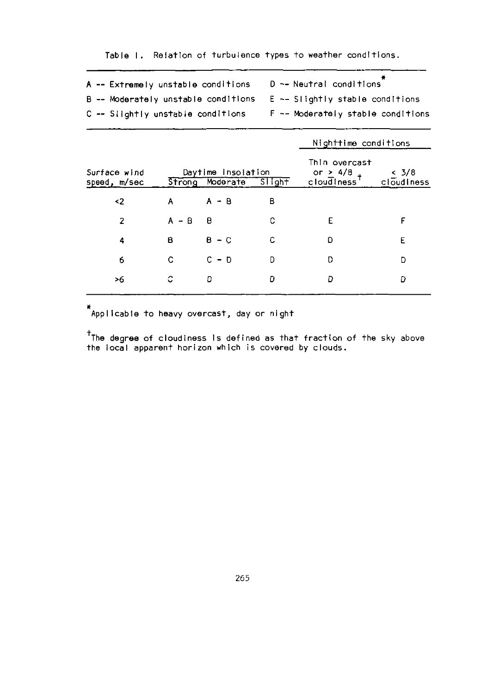|  | A -- Extremely unstable conditions | D -- Neutral conditions                                                     |
|--|------------------------------------|-----------------------------------------------------------------------------|
|  |                                    | $B$ -- Moderately unstable conditions $E \sim S$ Slightly stable conditions |
|  | C -- Siightly unstable conditions  | F -- Moderately stable conditions                                           |

**Table 1.** Relation of turbulence **types** to weather conditions.

|                              |                                                 |         |   | Nighttime conditions                                      |                     |
|------------------------------|-------------------------------------------------|---------|---|-----------------------------------------------------------|---------------------|
| Surface wind<br>speed, m/sec | Daytime insolation<br>Strong Moderate<br>Slight |         |   | Thin overcast<br>or $\geq 4/8$<br>cloudiness <sup>†</sup> | < 3/8<br>cloudiness |
| <2                           | Α                                               | $A - B$ | В |                                                           |                     |
| $\overline{2}$               | $A - B$                                         | B       | C | E                                                         | F                   |
| 4                            | в                                               | $B - C$ | Ċ | D                                                         | E                   |
| 6                            | C                                               | $C - D$ | D | D                                                         | D                   |
| >6                           | С                                               | D       | D | Ð                                                         | D                   |
|                              |                                                 |         |   |                                                           |                     |

**Applicable** to **heavy overcast,** day or night

tThe **degree of cloudiness** Is defined **as** that **fraction** of the sky above **the local** apparent **horizon which** is **covered by** clouds.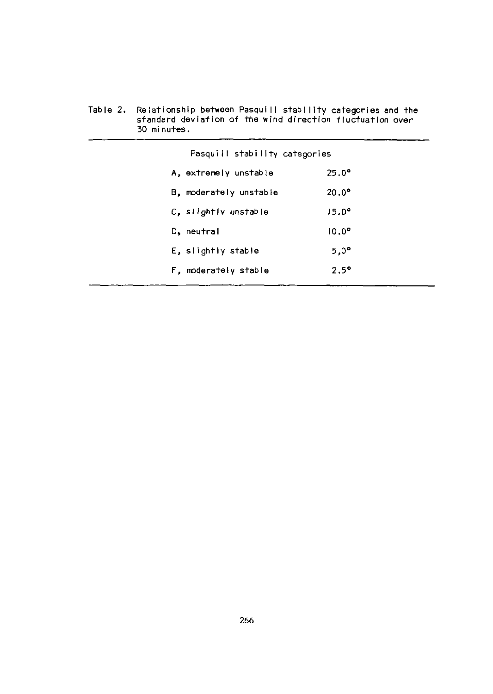| 30 minutes.                   |                |  |
|-------------------------------|----------------|--|
| Pasquill stability categories |                |  |
| A, extremely unstable         | $25.0^{\circ}$ |  |
| B, moderately unstable        | $20.0^\circ$   |  |
| C. slightly unstable          | $15.0^{\circ}$ |  |
| D, neutral                    | $10.0^{\circ}$ |  |
| E, slightly stable            | $5.0^{\circ}$  |  |
| F, moderately stable          | $2.5^{\circ}$  |  |

Table 2. Relationship between Pasquill stability categories and the<br>standard deviation of the wind direction fluctuation over<br>30 minutes.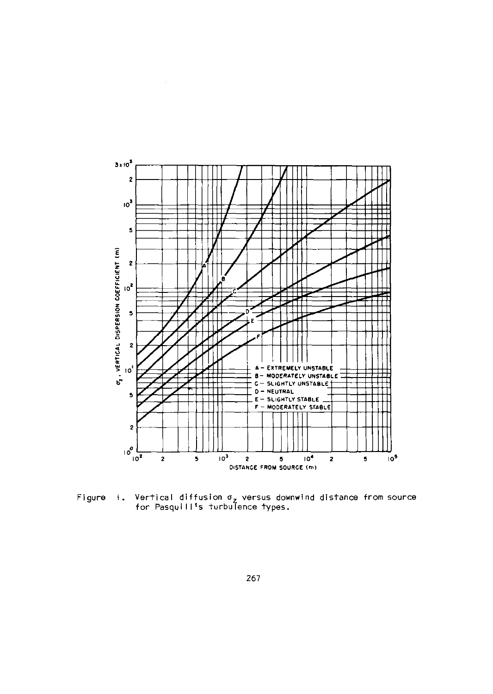

Figure  $\ddagger$ . Vertical diffusion  $\sigma_z$  versus downwind distance from source for Pasquill's turbulence types.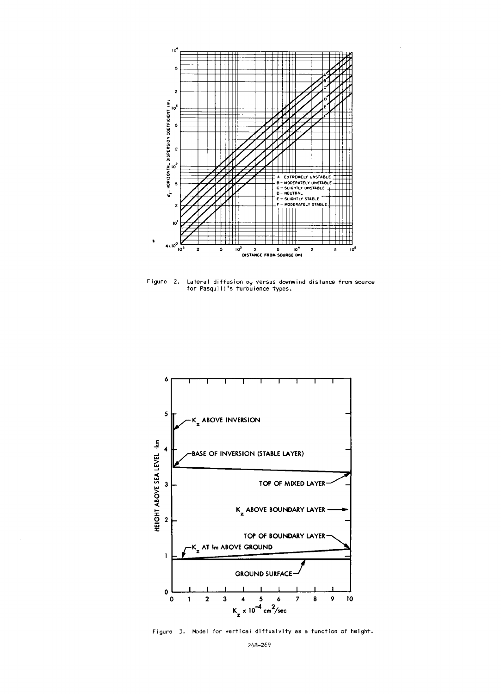

Figure 2. Lateral diffusion a<sub>y</sub> versus downwind distance from source<br>for Pasquill's turbulence types.



Figure 3. Model for vertical diffusivity as a function of height.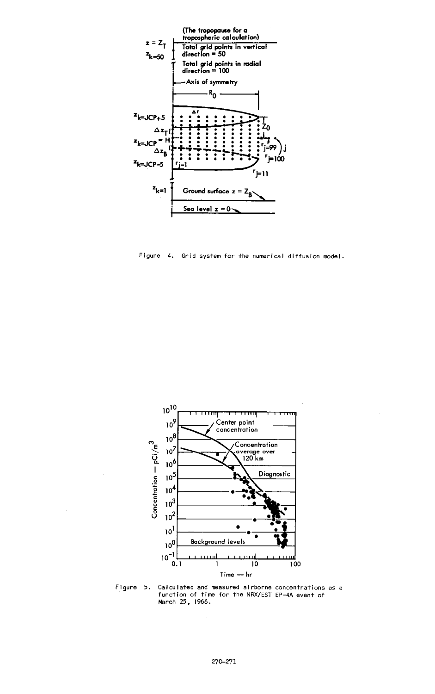

Figure 4. Grid system for the numerical diffusion model.



Figure 5. Calculated and measured airborne concentrations as a Function of time for the NRX/EST EP-4A event of<br>March 25, 1966.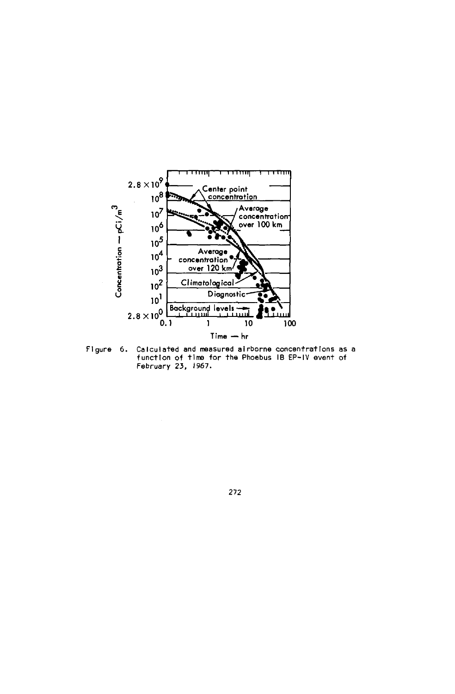

Calculated and measured airborne concentrations as a<br>function of time for the Phoebus IB EP-IV event of<br>February 23, 1967. Figure 6.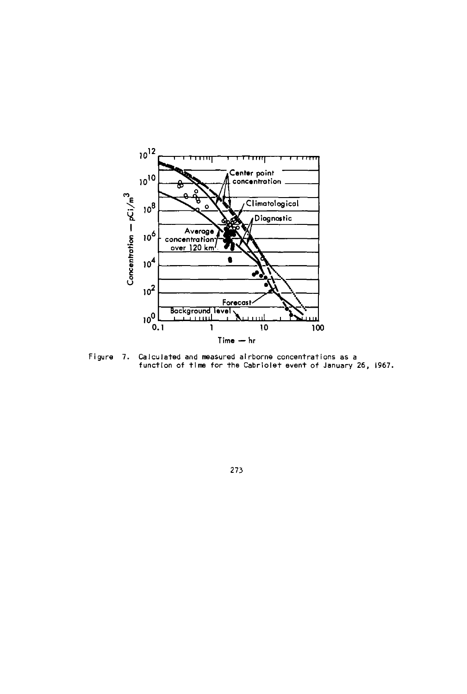

Calculated and measured alrborne concentrations as a<br>function of time for the Cabriolet event of January 26, 1967. Figure 7.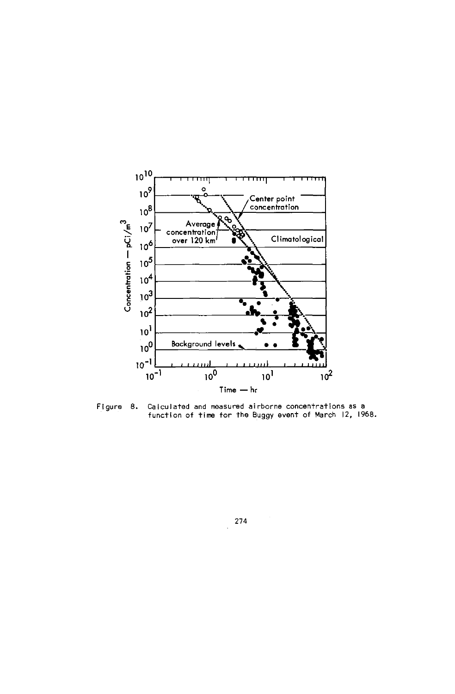

Calculated and measured airborne concentrations as a Figure 8. function of time for the Buggy event of March 12, 1968.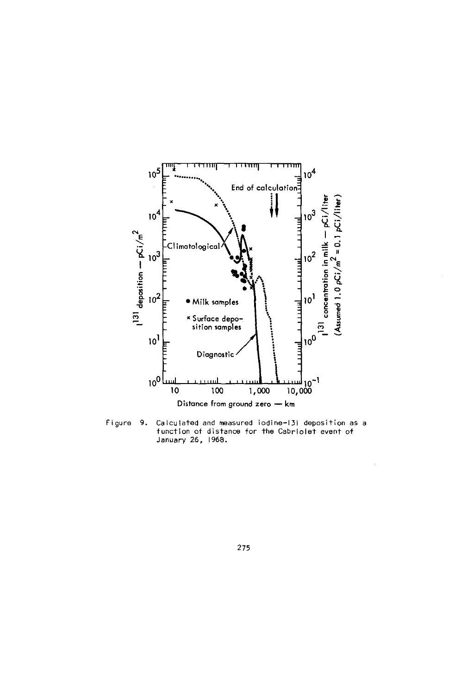

Figure 9. Calculated and measured iodine-131 deposition as a function of distanc<mark>e</mark> for the CabrIolet event o<br>January 26, 1968.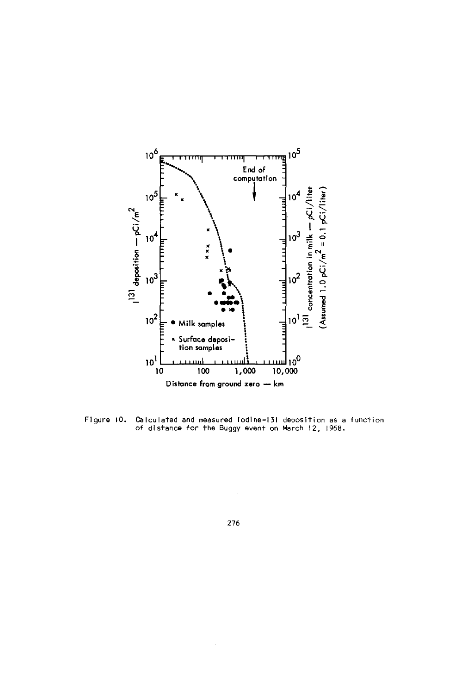

Figure 10. Calculated and measured odine-131 deposition as a function **of** distance for the Buggy event on March 12, 1968.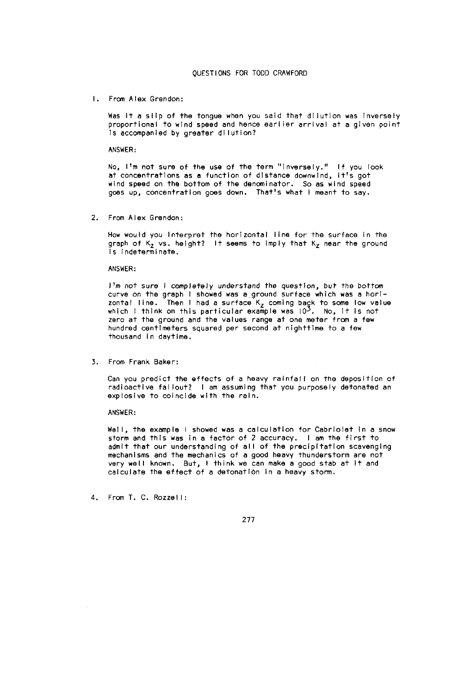1. From Alex Grendon:

Was it a slip of the tongue when you said that dilution was inversely proportional to wind speed and hence earlier arrival at a given point Is accompanied by greater dilution?

ANSWER:

No, I'm not sure of the use of the term "inversely." If you look at concentrations as a function of distance downwind, It's got wind speed on the bottom of the denominator. So as wind speed goes up, concentration goes down. That's what I meant to say.

2. From Alex Grendon:

How would you Interpret the horizontal line for the surface In the graph of  $K_2$  vs. height? It seems to imply that  $K_2$  near the ground is indeterminate,

ANSWER:

I'm not sure I completely understand the question, but the bottom curve on the graph I showed was a ground surface which was a horizontal line. Then I had a surface K<sub>z</sub> coming back to some low value<br>which I think on this particular example was 10<sup>3</sup>. No, it is not zero at the ground and the values range at one meter from a few hundred centimeters squared per second at nighttime to a few thousand in daytime.

3. From Frank Baker:

Can you predict the effects of a heavy rainfall on the deposition of radioactive fallout? I am assuming that you purposely detonated an explosive to coincide with the rain.

ANSWER:

Well, the example I showed was a calculation for Cabriolet in a snow storm and this was in a factor of 2 accuracy. I am the first to admit that our understanding of all of the precipitation scavenging mechanisms and the mechanics of a good heavy thunderstorm are not very well known. But, I think we can make a good stab at it and calculate the effect of a detonation in a heavy storm.

4. From T. C. Rozzell: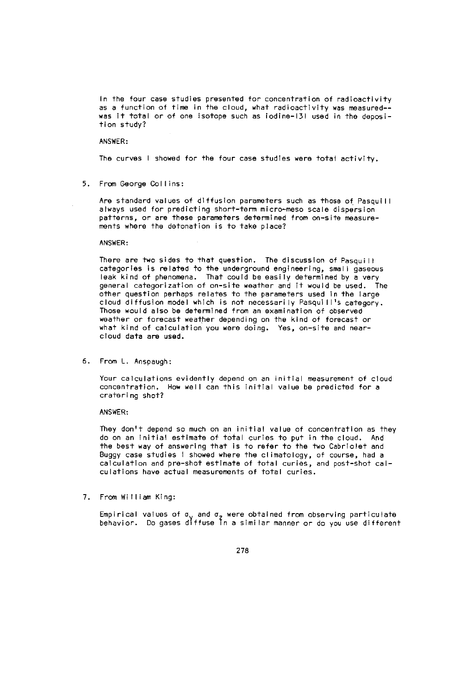In the four case studies presented for concentration of radioactivity as a function of time in the cloud, what radioactivity was measured- was it total or of one isotope such as iodine-131 used in the deposition study?

ANSWER:

The curves I showed for the four case studies were total activity.

5. From George Collins:

Are standard values of diffusion parameters such as those of Pasquill always used for predicting short-term micro-meso scale dispersion patterns, or are these parameters determined from on-site measurements where the detonation is to take place?

ANSWER:

There are two sides to that question. The discussion of Pasquill categories is related to the underground engineering, small gaseous leak kind of phenomena. That could be easily determined by a very general categorization of on-site weather and it would be used. The other question perhaps relates to the parameters used in the large cloud diffusion model which is not necessarily Pasquill's category. Those would also be determined from an examination of observed weather or forecast weather depending on the kind of forecast or what kind of calculation you were doing. Yes, on-site and nearcloud data are used.

6. From L. Anspaugh:

Your calculations evidently depend on an initial measurement of cloud concentration. How well can this initial value be predicted for a cratering shot?

ANSWER:

They don't depend so much on an initial value of concentration as they do on an initial estimate of total curies to put in the cloud. And the best way of answering that is to refer to the two Cabriolet and Buggy case studies I showed where the climatology, of course, had a calculation and pre-shot estimate of total curies, and post-shot calculations have actual measurements of total curies.

7. From William King:

.<br>Empirical values of σ<sub>v</sub> and σ<sub>z</sub> were obtained from observing particulate<br>behavior. Do gases diffuse In a similar manner or do you use differen<sup>.</sup>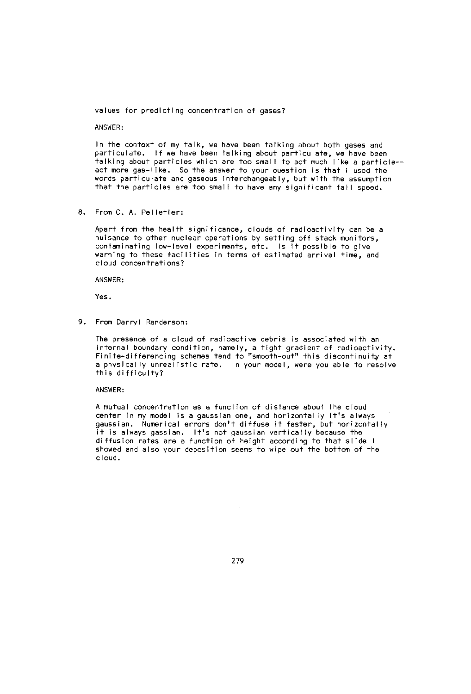values for predicting concentration of gases?

ANSWER:

In the context of my talk, we have been talking about both gases and particulate. If we have been talking about particulate, we have been talking about particles which are too small to act much like a particle- act more gas-like. So the answer to your question is that I used the words particulate and gaseous interchangeably, but with the assumption that the particles are too small to have any significant fall speed.

8. From C. A. Pelletier:

Apart from the health significance, clouds of radioactivity can be a nuisance to other nuclear operations by setting off stack monitors, contaminating low-level experiments, etc. Is it possible to give warning to these facilities in terms of estimated arrival time, and cloud concentrations?

ANSWER:

Yes.

9. From Darryl Randerson:

The presence of a cloud of radioactive debris is associated with an internal boundary condition, namely, a tight gradient of radioactivity<br>Finite-differencing schemes tend to "smooth-out" this discontinuity at a physically unrealistic rate. In your model, were you able to resolve this difficulty?

ANSWER:

A mutual concentration as a function of distance about the cloud center in my model is a gaussian one, and horizontally it's always gaussian. Numerical errors don't diffuse it faster, but horizontally it is always gasslan. It's not gaussian vertically because the diffusion rates are a function of height according to that slide I showed and also your deposition seems to wipe out the bottom of the cloud.